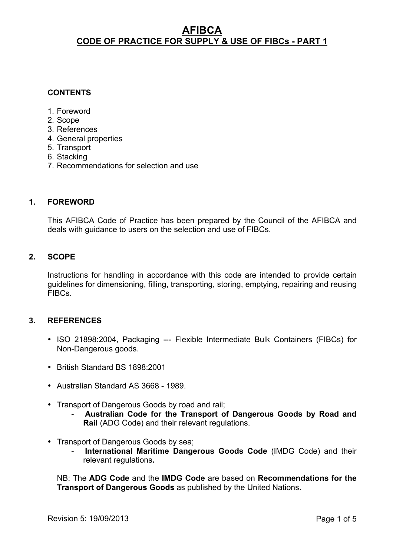## **CONTENTS**

- 1. Foreword
- 2. Scope
- 3. References
- 4. General properties
- 5. Transport
- 6. Stacking
- 7. Recommendations for selection and use

### **1. FOREWORD**

This AFIBCA Code of Practice has been prepared by the Council of the AFIBCA and deals with guidance to users on the selection and use of FIBCs.

### **2. SCOPE**

Instructions for handling in accordance with this code are intended to provide certain guidelines for dimensioning, filling, transporting, storing, emptying, repairing and reusing FIBCs.

## **3. REFERENCES**

- ISO 21898:2004, Packaging --- Flexible Intermediate Bulk Containers (FIBCs) for Non-Dangerous goods.
- British Standard BS 1898:2001
- Australian Standard AS 3668 1989.
- Transport of Dangerous Goods by road and rail;
	- **Australian Code for the Transport of Dangerous Goods by Road and Rail** (ADG Code) and their relevant regulations.
- Transport of Dangerous Goods by sea;
	- **International Maritime Dangerous Goods Code** (IMDG Code) and their relevant regulations**.**

NB: The **ADG Code** and the **IMDG Code** are based on **Recommendations for the Transport of Dangerous Goods** as published by the United Nations.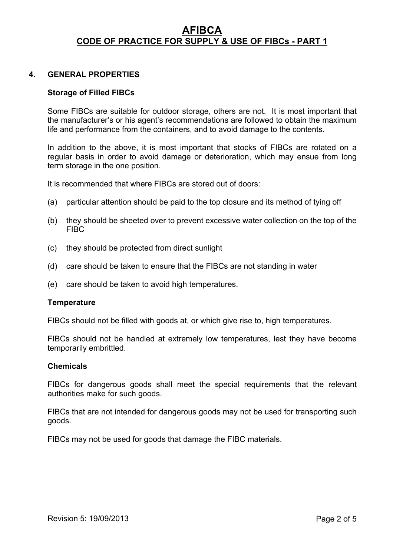## **4. GENERAL PROPERTIES**

### **Storage of Filled FIBCs**

Some FIBCs are suitable for outdoor storage, others are not. It is most important that the manufacturer's or his agent's recommendations are followed to obtain the maximum life and performance from the containers, and to avoid damage to the contents.

In addition to the above, it is most important that stocks of FIBCs are rotated on a regular basis in order to avoid damage or deterioration, which may ensue from long term storage in the one position.

It is recommended that where FIBCs are stored out of doors:

- (a) particular attention should be paid to the top closure and its method of tying off
- (b) they should be sheeted over to prevent excessive water collection on the top of the FIBC
- (c) they should be protected from direct sunlight
- (d) care should be taken to ensure that the FIBCs are not standing in water
- (e) care should be taken to avoid high temperatures.

#### **Temperature**

FIBCs should not be filled with goods at, or which give rise to, high temperatures.

FIBCs should not be handled at extremely low temperatures, lest they have become temporarily embrittled.

#### **Chemicals**

FIBCs for dangerous goods shall meet the special requirements that the relevant authorities make for such goods.

FIBCs that are not intended for dangerous goods may not be used for transporting such goods.

FIBCs may not be used for goods that damage the FIBC materials.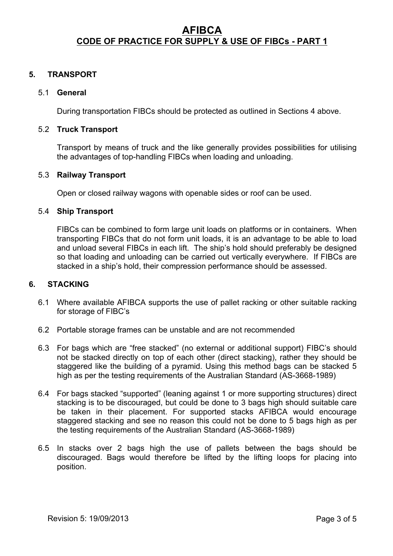## **5. TRANSPORT**

### 5.1 **General**

During transportation FIBCs should be protected as outlined in Sections 4 above.

### 5.2 **Truck Transport**

Transport by means of truck and the like generally provides possibilities for utilising the advantages of top-handling FIBCs when loading and unloading.

### 5.3 **Railway Transport**

Open or closed railway wagons with openable sides or roof can be used.

#### 5.4 **Ship Transport**

FIBCs can be combined to form large unit loads on platforms or in containers. When transporting FIBCs that do not form unit loads, it is an advantage to be able to load and unload several FIBCs in each lift. The ship's hold should preferably be designed so that loading and unloading can be carried out vertically everywhere. If FIBCs are stacked in a ship's hold, their compression performance should be assessed.

### **6. STACKING**

- 6.1 Where available AFIBCA supports the use of pallet racking or other suitable racking for storage of FIBC's
- 6.2 Portable storage frames can be unstable and are not recommended
- 6.3 For bags which are "free stacked" (no external or additional support) FIBC's should not be stacked directly on top of each other (direct stacking), rather they should be staggered like the building of a pyramid. Using this method bags can be stacked 5 high as per the testing requirements of the Australian Standard (AS-3668-1989)
- 6.4 For bags stacked "supported" (leaning against 1 or more supporting structures) direct stacking is to be discouraged, but could be done to 3 bags high should suitable care be taken in their placement. For supported stacks AFIBCA would encourage staggered stacking and see no reason this could not be done to 5 bags high as per the testing requirements of the Australian Standard (AS-3668-1989)
- 6.5 In stacks over 2 bags high the use of pallets between the bags should be discouraged. Bags would therefore be lifted by the lifting loops for placing into position.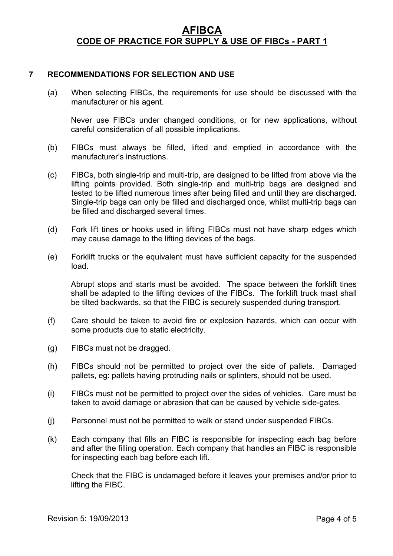## **7 RECOMMENDATIONS FOR SELECTION AND USE**

(a) When selecting FIBCs, the requirements for use should be discussed with the manufacturer or his agent.

Never use FIBCs under changed conditions, or for new applications, without careful consideration of all possible implications.

- (b) FIBCs must always be filled, lifted and emptied in accordance with the manufacturer's instructions.
- (c) FIBCs, both single-trip and multi-trip, are designed to be lifted from above via the lifting points provided. Both single-trip and multi-trip bags are designed and tested to be lifted numerous times after being filled and until they are discharged. Single-trip bags can only be filled and discharged once, whilst multi-trip bags can be filled and discharged several times.
- (d) Fork lift tines or hooks used in lifting FIBCs must not have sharp edges which may cause damage to the lifting devices of the bags.
- (e) Forklift trucks or the equivalent must have sufficient capacity for the suspended load.

Abrupt stops and starts must be avoided. The space between the forklift tines shall be adapted to the lifting devices of the FIBCs. The forklift truck mast shall be tilted backwards, so that the FIBC is securely suspended during transport.

- (f) Care should be taken to avoid fire or explosion hazards, which can occur with some products due to static electricity.
- (g) FIBCs must not be dragged.
- (h) FIBCs should not be permitted to project over the side of pallets. Damaged pallets, eg: pallets having protruding nails or splinters, should not be used.
- (i) FIBCs must not be permitted to project over the sides of vehicles. Care must be taken to avoid damage or abrasion that can be caused by vehicle side-gates.
- (j) Personnel must not be permitted to walk or stand under suspended FIBCs.
- (k) Each company that fills an FIBC is responsible for inspecting each bag before and after the filling operation. Each company that handles an FIBC is responsible for inspecting each bag before each lift.

Check that the FIBC is undamaged before it leaves your premises and/or prior to lifting the FIBC.